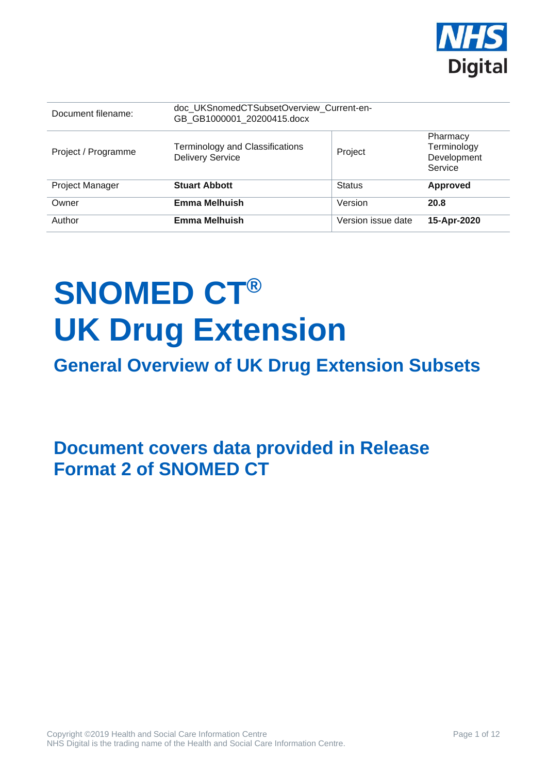

| Document filename:  | doc UKSnomedCTSubsetOverview Current-en-<br>GB GB1000001 20200415.docx |                    |                                                   |
|---------------------|------------------------------------------------------------------------|--------------------|---------------------------------------------------|
| Project / Programme | <b>Terminology and Classifications</b><br><b>Delivery Service</b>      | Project            | Pharmacy<br>Terminology<br>Development<br>Service |
| Project Manager     | <b>Stuart Abbott</b>                                                   | <b>Status</b>      | Approved                                          |
| Owner               | <b>Emma Melhuish</b>                                                   | Version            | 20.8                                              |
| Author              | <b>Emma Melhuish</b>                                                   | Version issue date | 15-Apr-2020                                       |

# **SNOMED CT® UK Drug Extension**

## **General Overview of UK Drug Extension Subsets**

**Document covers data provided in Release Format 2 of SNOMED CT**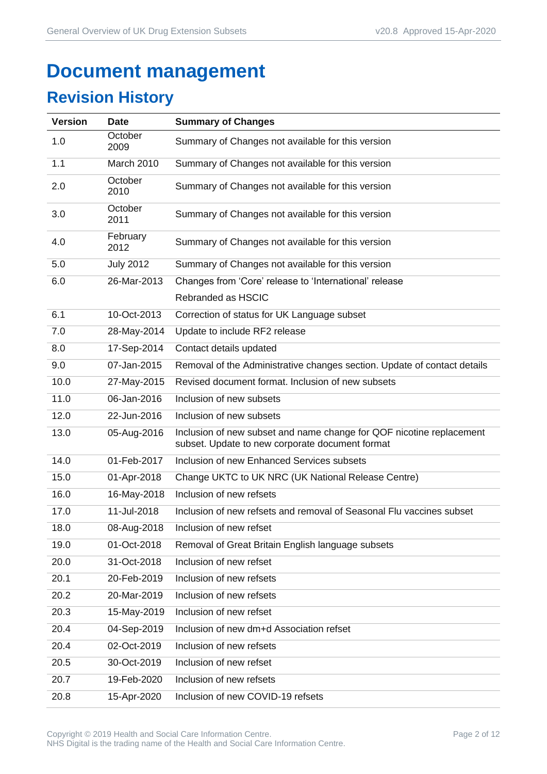## **Document management**

## **Revision History**

| <b>Version</b> | <b>Date</b>      | <b>Summary of Changes</b>                                                                                               |
|----------------|------------------|-------------------------------------------------------------------------------------------------------------------------|
| 1.0            | October<br>2009  | Summary of Changes not available for this version                                                                       |
| 1.1            | March 2010       | Summary of Changes not available for this version                                                                       |
| 2.0            | October<br>2010  | Summary of Changes not available for this version                                                                       |
| 3.0            | October<br>2011  | Summary of Changes not available for this version                                                                       |
| 4.0            | February<br>2012 | Summary of Changes not available for this version                                                                       |
| 5.0            | <b>July 2012</b> | Summary of Changes not available for this version                                                                       |
| 6.0            | 26-Mar-2013      | Changes from 'Core' release to 'International' release                                                                  |
|                |                  | Rebranded as HSCIC                                                                                                      |
| 6.1            | 10-Oct-2013      | Correction of status for UK Language subset                                                                             |
| 7.0            | 28-May-2014      | Update to include RF2 release                                                                                           |
| 8.0            | 17-Sep-2014      | Contact details updated                                                                                                 |
| 9.0            | 07-Jan-2015      | Removal of the Administrative changes section. Update of contact details                                                |
| 10.0           | 27-May-2015      | Revised document format. Inclusion of new subsets                                                                       |
| 11.0           | 06-Jan-2016      | Inclusion of new subsets                                                                                                |
| 12.0           | 22-Jun-2016      | Inclusion of new subsets                                                                                                |
| 13.0           | 05-Aug-2016      | Inclusion of new subset and name change for QOF nicotine replacement<br>subset. Update to new corporate document format |
| 14.0           | 01-Feb-2017      | Inclusion of new Enhanced Services subsets                                                                              |
| 15.0           | 01-Apr-2018      | Change UKTC to UK NRC (UK National Release Centre)                                                                      |
| 16.0           | 16-May-2018      | Inclusion of new refsets                                                                                                |
| 17.0           | 11-Jul-2018      | Inclusion of new refsets and removal of Seasonal Flu vaccines subset                                                    |
| 18.0           | 08-Aug-2018      | Inclusion of new refset                                                                                                 |
| 19.0           | 01-Oct-2018      | Removal of Great Britain English language subsets                                                                       |
| 20.0           | 31-Oct-2018      | Inclusion of new refset                                                                                                 |
| 20.1           | 20-Feb-2019      | Inclusion of new refsets                                                                                                |
| 20.2           | 20-Mar-2019      | Inclusion of new refsets                                                                                                |
| 20.3           | 15-May-2019      | Inclusion of new refset                                                                                                 |
| 20.4           | 04-Sep-2019      | Inclusion of new dm+d Association refset                                                                                |
| 20.4           | 02-Oct-2019      | Inclusion of new refsets                                                                                                |
| 20.5           | 30-Oct-2019      | Inclusion of new refset                                                                                                 |
| 20.7           | 19-Feb-2020      | Inclusion of new refsets                                                                                                |
| 20.8           | 15-Apr-2020      | Inclusion of new COVID-19 refsets                                                                                       |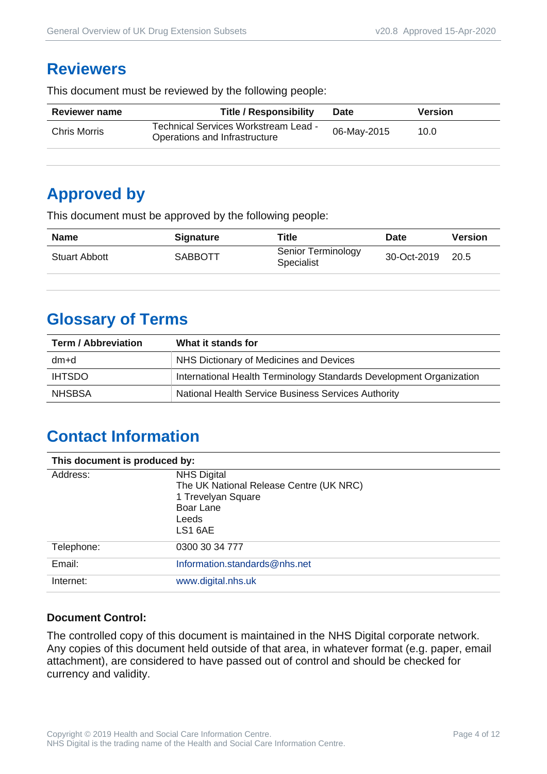#### **Reviewers**

This document must be reviewed by the following people:

| <b>Reviewer name</b> | <b>Title / Responsibility</b>                                         | <b>Date</b> | <b>Version</b> |
|----------------------|-----------------------------------------------------------------------|-------------|----------------|
| Chris Morris         | Technical Services Workstream Lead -<br>Operations and Infrastructure | 06-May-2015 | 10.0           |

## **Approved by**

This document must be approved by the following people:

| <b>Name</b>          | <b>Signature</b> | Title                            | <b>Date</b> | <b>Version</b> |
|----------------------|------------------|----------------------------------|-------------|----------------|
| <b>Stuart Abbott</b> | <b>SABBOTT</b>   | Senior Terminology<br>Specialist | 30-Oct-2019 | 20.5           |

## **Glossary of Terms**

| <b>Term / Abbreviation</b> | What it stands for                                                  |  |
|----------------------------|---------------------------------------------------------------------|--|
| dm+d                       | NHS Dictionary of Medicines and Devices                             |  |
| <b>IHTSDO</b>              | International Health Terminology Standards Development Organization |  |
| <b>NHSBSA</b>              | National Health Service Business Services Authority                 |  |

## **Contact Information**

| This document is produced by: |                                                                                                                      |  |
|-------------------------------|----------------------------------------------------------------------------------------------------------------------|--|
| Address:                      | <b>NHS Digital</b><br>The UK National Release Centre (UK NRC)<br>1 Trevelyan Square<br>Boar Lane<br>Leeds<br>LS1 6AE |  |
| Telephone:                    | 0300 30 34 777                                                                                                       |  |
| Email:                        | Information.standards@nhs.net                                                                                        |  |
| Internet:                     | www.digital.nhs.uk                                                                                                   |  |

#### **Document Control:**

The controlled copy of this document is maintained in the NHS Digital corporate network. Any copies of this document held outside of that area, in whatever format (e.g. paper, email attachment), are considered to have passed out of control and should be checked for currency and validity.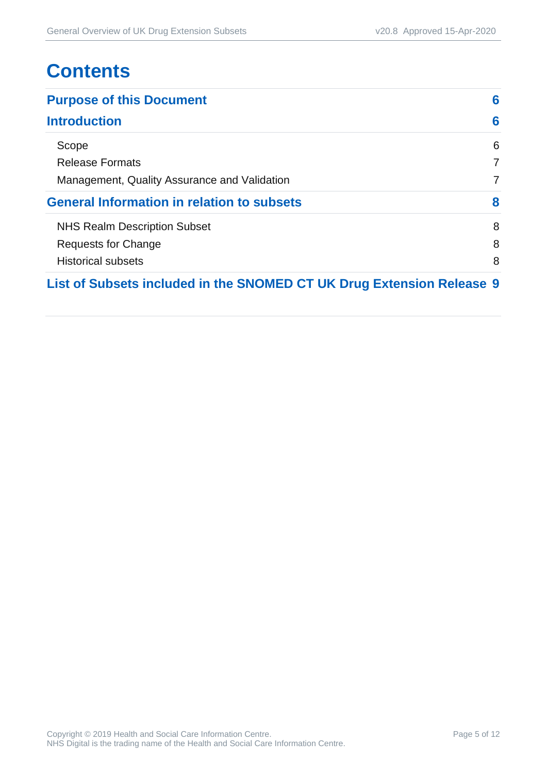## **Contents**

| <b>Purpose of this Document</b>                                       | 6 |
|-----------------------------------------------------------------------|---|
| <b>Introduction</b>                                                   | 6 |
| Scope                                                                 | 6 |
| <b>Release Formats</b>                                                | 7 |
| Management, Quality Assurance and Validation                          | 7 |
| <b>General Information in relation to subsets</b>                     | 8 |
| <b>NHS Realm Description Subset</b>                                   | 8 |
| Requests for Change                                                   | 8 |
| <b>Historical subsets</b>                                             | 8 |
| List of Subsets included in the SNOMED CT UK Drug Extension Release 9 |   |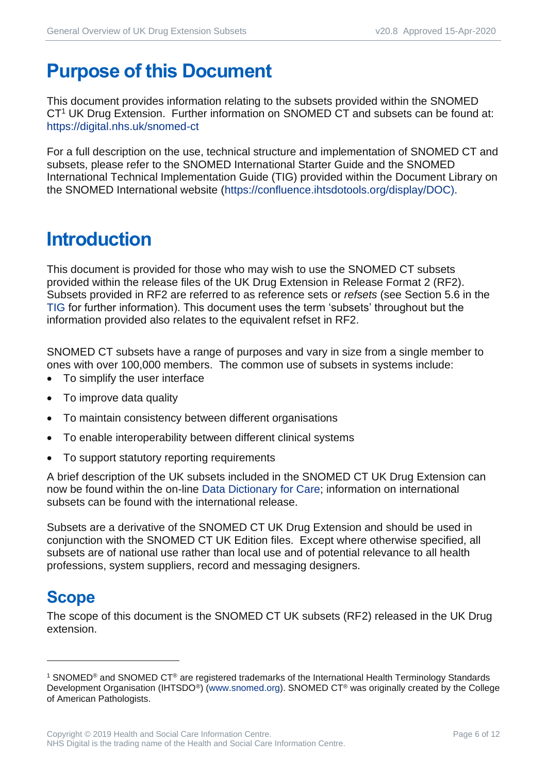## <span id="page-5-0"></span>**Purpose of this Document**

This document provides information relating to the subsets provided within the SNOMED CT<sup>1</sup> UK Drug Extension. Further information on SNOMED CT and subsets can be found at: <https://digital.nhs.uk/snomed-ct>

For a full description on the use, technical structure and implementation of SNOMED CT and subsets, please refer to the SNOMED International Starter Guide and the SNOMED International Technical Implementation Guide (TIG) provided within the Document Library on the SNOMED International website [\(https://confluence.ihtsdotools.org/display/DOC\)](https://confluence.ihtsdotools.org/display/DOC).

## <span id="page-5-1"></span>**Introduction**

This document is provided for those who may wish to use the SNOMED CT subsets provided within the release files of the UK Drug Extension in Release Format 2 (RF2). Subsets provided in RF2 are referred to as reference sets or *refsets* (see Section 5.6 in the [TIG](http://snomed.org/tig) for further information). This document uses the term 'subsets' throughout but the information provided also relates to the equivalent refset in RF2.

SNOMED CT subsets have a range of purposes and vary in size from a single member to ones with over 100,000 members. The common use of subsets in systems include:

- To simplify the user interface
- To improve data quality
- To maintain consistency between different organisations
- To enable interoperability between different clinical systems
- To support statutory reporting requirements

A brief description of the UK subsets included in the SNOMED CT UK Drug Extension can now be found within the on-line [Data Dictionary for Care;](https://dd4c.digital.nhs.uk/dd4c/) information on international subsets can be found with the international release.

Subsets are a derivative of the SNOMED CT UK Drug Extension and should be used in conjunction with the SNOMED CT UK Edition files. Except where otherwise specified, all subsets are of national use rather than local use and of potential relevance to all health professions, system suppliers, record and messaging designers.

#### <span id="page-5-2"></span>**Scope**

The scope of this document is the SNOMED CT UK subsets (RF2) released in the UK Drug extension.

<sup>1</sup> SNOMED® and SNOMED CT® are registered trademarks of the International Health Terminology Standards Development Organisation (IHTSDO<sup>®</sup>) [\(www.snomed.org\)](http://www.snomed.org/). SNOMED CT<sup>®</sup> was originally created by the College of American Pathologists.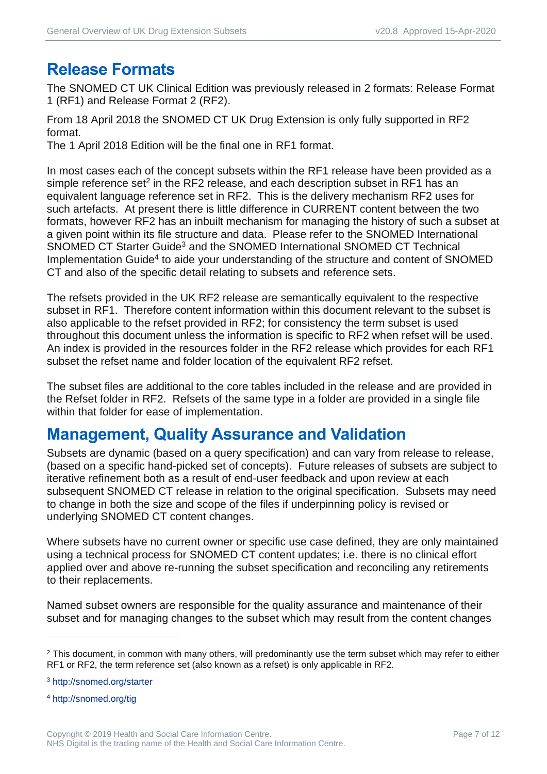#### <span id="page-6-0"></span>**Release Formats**

The SNOMED CT UK Clinical Edition was previously released in 2 formats: Release Format 1 (RF1) and Release Format 2 (RF2).

From 18 April 2018 the SNOMED CT UK Drug Extension is only fully supported in RF2 format.

The 1 April 2018 Edition will be the final one in RF1 format.

In most cases each of the concept subsets within the RF1 release have been provided as a simple reference set<sup>2</sup> in the RF2 release, and each description subset in RF1 has an equivalent language reference set in RF2. This is the delivery mechanism RF2 uses for such artefacts. At present there is little difference in CURRENT content between the two formats, however RF2 has an inbuilt mechanism for managing the history of such a subset at a given point within its file structure and data. Please refer to the SNOMED International SNOMED CT Starter Guide<sup>3</sup> and the SNOMED International SNOMED CT Technical Implementation Guide<sup>4</sup> to aide your understanding of the structure and content of SNOMED CT and also of the specific detail relating to subsets and reference sets.

The refsets provided in the UK RF2 release are semantically equivalent to the respective subset in RF1. Therefore content information within this document relevant to the subset is also applicable to the refset provided in RF2; for consistency the term subset is used throughout this document unless the information is specific to RF2 when refset will be used. An index is provided in the resources folder in the RF2 release which provides for each RF1 subset the refset name and folder location of the equivalent RF2 refset.

The subset files are additional to the core tables included in the release and are provided in the Refset folder in RF2. Refsets of the same type in a folder are provided in a single file within that folder for ease of implementation.

#### <span id="page-6-1"></span>**Management, Quality Assurance and Validation**

Subsets are dynamic (based on a query specification) and can vary from release to release, (based on a specific hand-picked set of concepts). Future releases of subsets are subject to iterative refinement both as a result of end-user feedback and upon review at each subsequent SNOMED CT release in relation to the original specification. Subsets may need to change in both the size and scope of the files if underpinning policy is revised or underlying SNOMED CT content changes.

Where subsets have no current owner or specific use case defined, they are only maintained using a technical process for SNOMED CT content updates; i.e. there is no clinical effort applied over and above re-running the subset specification and reconciling any retirements to their replacements.

Named subset owners are responsible for the quality assurance and maintenance of their subset and for managing changes to the subset which may result from the content changes

<sup>3</sup> <http://snomed.org/starter>

<sup>4</sup> <http://snomed.org/tig>

<sup>&</sup>lt;sup>2</sup> This document, in common with many others, will predominantly use the term subset which may refer to either RF1 or RF2, the term reference set (also known as a refset) is only applicable in RF2.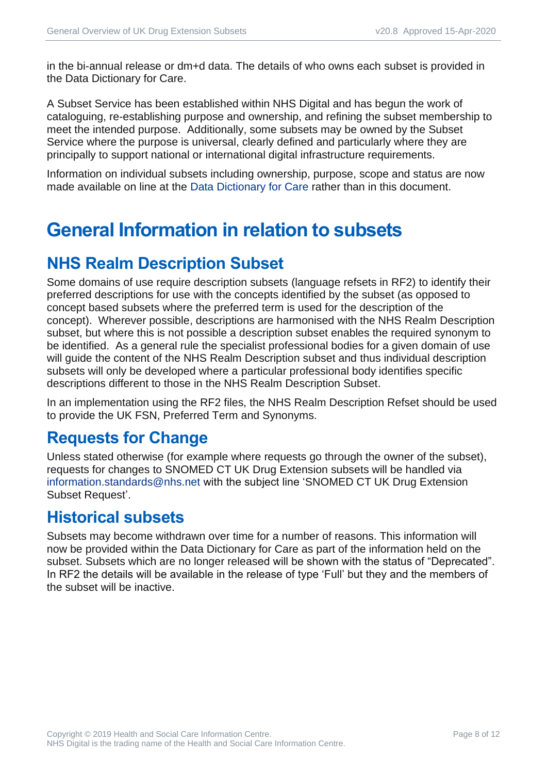in the bi-annual release or dm+d data. The details of who owns each subset is provided in the Data Dictionary for Care.

A Subset Service has been established within NHS Digital and has begun the work of cataloguing, re-establishing purpose and ownership, and refining the subset membership to meet the intended purpose. Additionally, some subsets may be owned by the Subset Service where the purpose is universal, clearly defined and particularly where they are principally to support national or international digital infrastructure requirements.

Information on individual subsets including ownership, purpose, scope and status are now made available on line at the [Data Dictionary for Care](https://dd4c.digital.nhs.uk/dd4c/) rather than in this document.

## <span id="page-7-0"></span>**General Information in relation to subsets**

## <span id="page-7-1"></span>**NHS Realm Description Subset**

Some domains of use require description subsets (language refsets in RF2) to identify their preferred descriptions for use with the concepts identified by the subset (as opposed to concept based subsets where the preferred term is used for the description of the concept). Wherever possible, descriptions are harmonised with the NHS Realm Description subset, but where this is not possible a description subset enables the required synonym to be identified. As a general rule the specialist professional bodies for a given domain of use will guide the content of the NHS Realm Description subset and thus individual description subsets will only be developed where a particular professional body identifies specific descriptions different to those in the NHS Realm Description Subset.

In an implementation using the RF2 files, the NHS Realm Description Refset should be used to provide the UK FSN, Preferred Term and Synonyms.

#### <span id="page-7-2"></span>**Requests for Change**

Unless stated otherwise (for example where requests go through the owner of the subset), requests for changes to SNOMED CT UK Drug Extension subsets will be handled via [information.standards@nhs.net](mailto:information.standards@nhs.net) with the subject line 'SNOMED CT UK Drug Extension Subset Request'.

#### <span id="page-7-3"></span>**Historical subsets**

Subsets may become withdrawn over time for a number of reasons. This information will now be provided within the Data Dictionary for Care as part of the information held on the subset. Subsets which are no longer released will be shown with the status of "Deprecated". In RF2 the details will be available in the release of type 'Full' but they and the members of the subset will be inactive.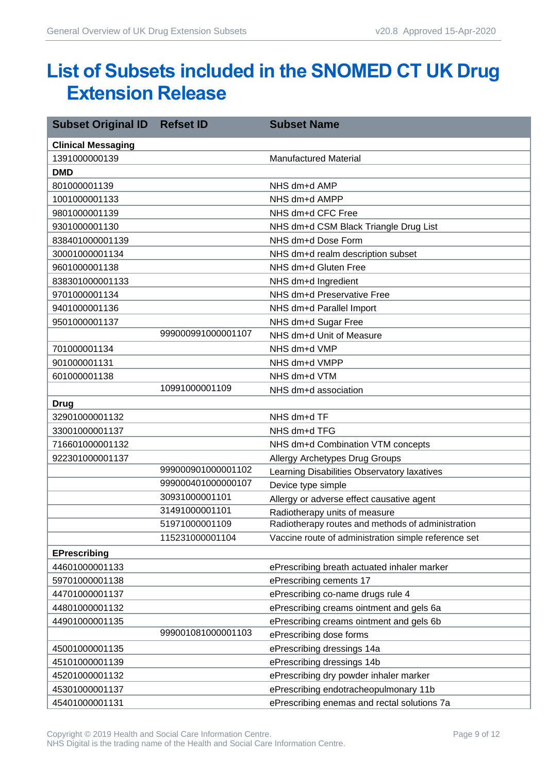## <span id="page-8-0"></span>**List of Subsets included in the SNOMED CT UK Drug Extension Release**

| <b>Subset Original ID</b> | <b>Refset ID</b>   | <b>Subset Name</b>                                   |
|---------------------------|--------------------|------------------------------------------------------|
| <b>Clinical Messaging</b> |                    |                                                      |
| 1391000000139             |                    | <b>Manufactured Material</b>                         |
| <b>DMD</b>                |                    |                                                      |
| 801000001139              |                    | NHS dm+d AMP                                         |
| 1001000001133             |                    | NHS dm+d AMPP                                        |
| 9801000001139             |                    | NHS dm+d CFC Free                                    |
| 9301000001130             |                    | NHS dm+d CSM Black Triangle Drug List                |
| 838401000001139           |                    | NHS dm+d Dose Form                                   |
| 30001000001134            |                    | NHS dm+d realm description subset                    |
| 9601000001138             |                    | NHS dm+d Gluten Free                                 |
| 838301000001133           |                    | NHS dm+d Ingredient                                  |
| 9701000001134             |                    | NHS dm+d Preservative Free                           |
| 9401000001136             |                    | NHS dm+d Parallel Import                             |
| 9501000001137             |                    | NHS dm+d Sugar Free                                  |
|                           | 999000991000001107 | NHS dm+d Unit of Measure                             |
| 701000001134              |                    | NHS dm+d VMP                                         |
| 901000001131              |                    | NHS dm+d VMPP                                        |
| 601000001138              |                    | NHS dm+d VTM                                         |
|                           | 10991000001109     | NHS dm+d association                                 |
| <b>Drug</b>               |                    |                                                      |
| 32901000001132            |                    | NHS dm+d TF                                          |
| 33001000001137            |                    | NHS dm+d TFG                                         |
| 716601000001132           |                    | NHS dm+d Combination VTM concepts                    |
| 922301000001137           |                    | Allergy Archetypes Drug Groups                       |
|                           | 999000901000001102 | Learning Disabilities Observatory laxatives          |
|                           | 999000401000000107 | Device type simple                                   |
|                           | 30931000001101     | Allergy or adverse effect causative agent            |
|                           | 31491000001101     | Radiotherapy units of measure                        |
|                           | 51971000001109     | Radiotherapy routes and methods of administration    |
|                           | 115231000001104    | Vaccine route of administration simple reference set |
| <b>EPrescribing</b>       |                    |                                                      |
| 44601000001133            |                    | ePrescribing breath actuated inhaler marker          |
| 59701000001138            |                    | ePrescribing cements 17                              |
| 44701000001137            |                    | ePrescribing co-name drugs rule 4                    |
| 44801000001132            |                    | ePrescribing creams ointment and gels 6a             |
| 44901000001135            |                    | ePrescribing creams ointment and gels 6b             |
|                           | 999001081000001103 | ePrescribing dose forms                              |
| 45001000001135            |                    | ePrescribing dressings 14a                           |
| 45101000001139            |                    | ePrescribing dressings 14b                           |
| 45201000001132            |                    | ePrescribing dry powder inhaler marker               |
| 45301000001137            |                    | ePrescribing endotracheopulmonary 11b                |
| 45401000001131            |                    | ePrescribing enemas and rectal solutions 7a          |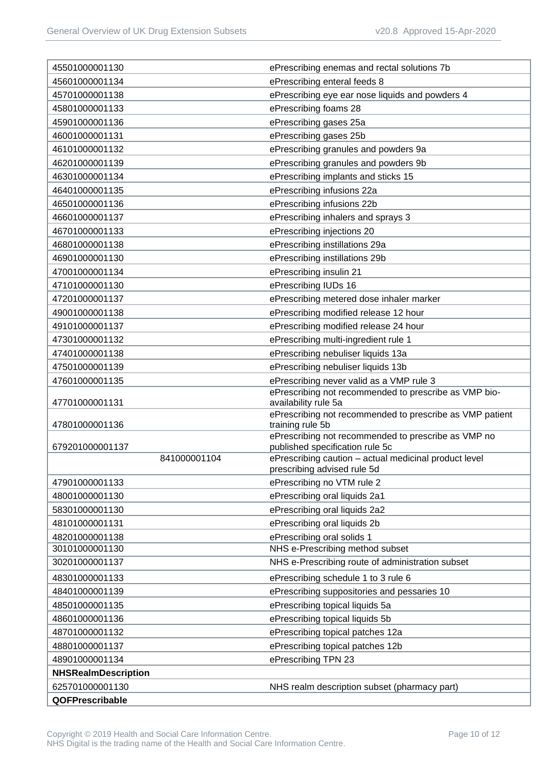| 45501000001130                  | ePrescribing enemas and rectal solutions 7b                                              |
|---------------------------------|------------------------------------------------------------------------------------------|
| 45601000001134                  | ePrescribing enteral feeds 8                                                             |
| 45701000001138                  | ePrescribing eye ear nose liquids and powders 4                                          |
| 45801000001133                  | ePrescribing foams 28                                                                    |
| 45901000001136                  | ePrescribing gases 25a                                                                   |
| 46001000001131                  | ePrescribing gases 25b                                                                   |
| 46101000001132                  | ePrescribing granules and powders 9a                                                     |
| 46201000001139                  | ePrescribing granules and powders 9b                                                     |
| 46301000001134                  | ePrescribing implants and sticks 15                                                      |
| 46401000001135                  | ePrescribing infusions 22a                                                               |
| 46501000001136                  | ePrescribing infusions 22b                                                               |
| 46601000001137                  | ePrescribing inhalers and sprays 3                                                       |
| 46701000001133                  | ePrescribing injections 20                                                               |
| 46801000001138                  | ePrescribing instillations 29a                                                           |
| 46901000001130                  | ePrescribing instillations 29b                                                           |
| 47001000001134                  | ePrescribing insulin 21                                                                  |
| 47101000001130                  | ePrescribing IUDs 16                                                                     |
| 47201000001137                  | ePrescribing metered dose inhaler marker                                                 |
| 49001000001138                  | ePrescribing modified release 12 hour                                                    |
| 49101000001137                  | ePrescribing modified release 24 hour                                                    |
| 47301000001132                  | ePrescribing multi-ingredient rule 1                                                     |
| 47401000001138                  | ePrescribing nebuliser liquids 13a                                                       |
| 47501000001139                  | ePrescribing nebuliser liquids 13b                                                       |
| 47601000001135                  | ePrescribing never valid as a VMP rule 3                                                 |
| 47701000001131                  | ePrescribing not recommended to prescribe as VMP bio-<br>availability rule 5a            |
| 47801000001136                  | ePrescribing not recommended to prescribe as VMP patient<br>training rule 5b             |
|                                 | ePrescribing not recommended to prescribe as VMP no                                      |
| 679201000001137<br>841000001104 | published specification rule 5c<br>ePrescribing caution - actual medicinal product level |
|                                 | prescribing advised rule 5d                                                              |
| 47901000001133                  | ePrescribing no VTM rule 2                                                               |
| 48001000001130                  | ePrescribing oral liquids 2a1                                                            |
| 58301000001130                  | ePrescribing oral liquids 2a2                                                            |
| 48101000001131                  | ePrescribing oral liquids 2b                                                             |
| 48201000001138                  | ePrescribing oral solids 1                                                               |
| 30101000001130                  | NHS e-Prescribing method subset                                                          |
| 30201000001137                  | NHS e-Prescribing route of administration subset                                         |
| 48301000001133                  | ePrescribing schedule 1 to 3 rule 6                                                      |
| 48401000001139                  | ePrescribing suppositories and pessaries 10                                              |
| 48501000001135                  | ePrescribing topical liquids 5a                                                          |
| 48601000001136                  | ePrescribing topical liquids 5b                                                          |
| 48701000001132                  | ePrescribing topical patches 12a                                                         |
| 48801000001137                  | ePrescribing topical patches 12b                                                         |
| 48901000001134                  | ePrescribing TPN 23                                                                      |
| <b>NHSRealmDescription</b>      |                                                                                          |
| 625701000001130                 | NHS realm description subset (pharmacy part)                                             |
| QOFPrescribable                 |                                                                                          |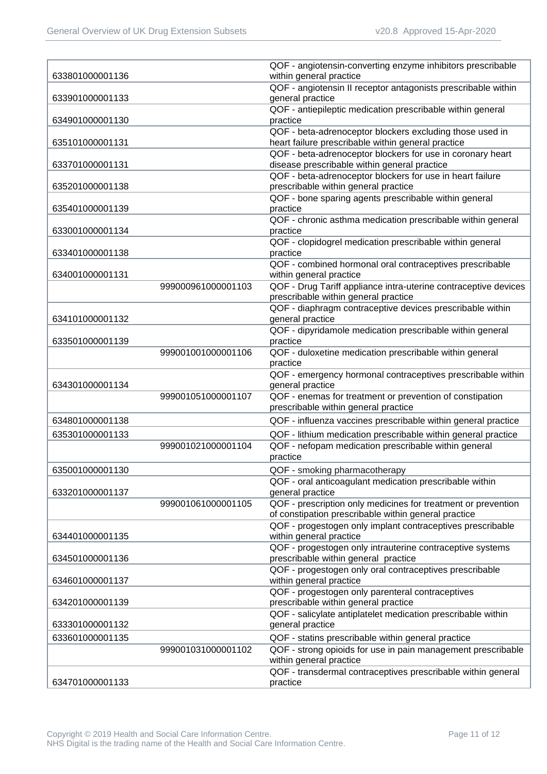|                 |                    | QOF - angiotensin-converting enzyme inhibitors prescribable     |
|-----------------|--------------------|-----------------------------------------------------------------|
| 633801000001136 |                    | within general practice                                         |
|                 |                    | QOF - angiotensin II receptor antagonists prescribable within   |
| 633901000001133 |                    | general practice                                                |
|                 |                    | QOF - antiepileptic medication prescribable within general      |
| 634901000001130 |                    | practice                                                        |
|                 |                    | QOF - beta-adrenoceptor blockers excluding those used in        |
| 635101000001131 |                    | heart failure prescribable within general practice              |
|                 |                    | QOF - beta-adrenoceptor blockers for use in coronary heart      |
| 633701000001131 |                    | disease prescribable within general practice                    |
|                 |                    | QOF - beta-adrenoceptor blockers for use in heart failure       |
| 635201000001138 |                    | prescribable within general practice                            |
|                 |                    | QOF - bone sparing agents prescribable within general           |
| 635401000001139 |                    | practice                                                        |
|                 |                    | QOF - chronic asthma medication prescribable within general     |
| 633001000001134 |                    | practice                                                        |
|                 |                    | QOF - clopidogrel medication prescribable within general        |
| 633401000001138 |                    | practice                                                        |
|                 |                    | QOF - combined hormonal oral contraceptives prescribable        |
| 634001000001131 |                    | within general practice                                         |
|                 | 999000961000001103 | QOF - Drug Tariff appliance intra-uterine contraceptive devices |
|                 |                    | prescribable within general practice                            |
|                 |                    | QOF - diaphragm contraceptive devices prescribable within       |
| 634101000001132 |                    | general practice                                                |
|                 |                    | QOF - dipyridamole medication prescribable within general       |
| 633501000001139 |                    | practice                                                        |
|                 | 999001001000001106 | QOF - duloxetine medication prescribable within general         |
|                 |                    | practice                                                        |
|                 |                    | QOF - emergency hormonal contraceptives prescribable within     |
| 634301000001134 |                    | general practice                                                |
|                 | 999001051000001107 | QOF - enemas for treatment or prevention of constipation        |
|                 |                    | prescribable within general practice                            |
| 634801000001138 |                    | QOF - influenza vaccines prescribable within general practice   |
| 635301000001133 |                    | QOF - lithium medication prescribable within general practice   |
|                 | 999001021000001104 | QOF - nefopam medication prescribable within general            |
|                 |                    | practice                                                        |
|                 |                    |                                                                 |
| 635001000001130 |                    | QOF - smoking pharmacotherapy                                   |
|                 |                    | QOF - oral anticoagulant medication prescribable within         |
| 633201000001137 |                    | general practice                                                |
|                 | 999001061000001105 | QOF - prescription only medicines for treatment or prevention   |
|                 |                    | of constipation prescribable within general practice            |
|                 |                    | QOF - progestogen only implant contraceptives prescribable      |
| 634401000001135 |                    | within general practice                                         |
|                 |                    | QOF - progestogen only intrauterine contraceptive systems       |
| 634501000001136 |                    | prescribable within general practice                            |
|                 |                    | QOF - progestogen only oral contraceptives prescribable         |
| 634601000001137 |                    | within general practice                                         |
|                 |                    | QOF - progestogen only parenteral contraceptives                |
| 634201000001139 |                    | prescribable within general practice                            |
|                 |                    | QOF - salicylate antiplatelet medication prescribable within    |
| 633301000001132 |                    | general practice                                                |
| 633601000001135 |                    | QOF - statins prescribable within general practice              |
|                 | 999001031000001102 | QOF - strong opioids for use in pain management prescribable    |
|                 |                    | within general practice                                         |
|                 |                    | QOF - transdermal contraceptives prescribable within general    |
| 634701000001133 |                    | practice                                                        |